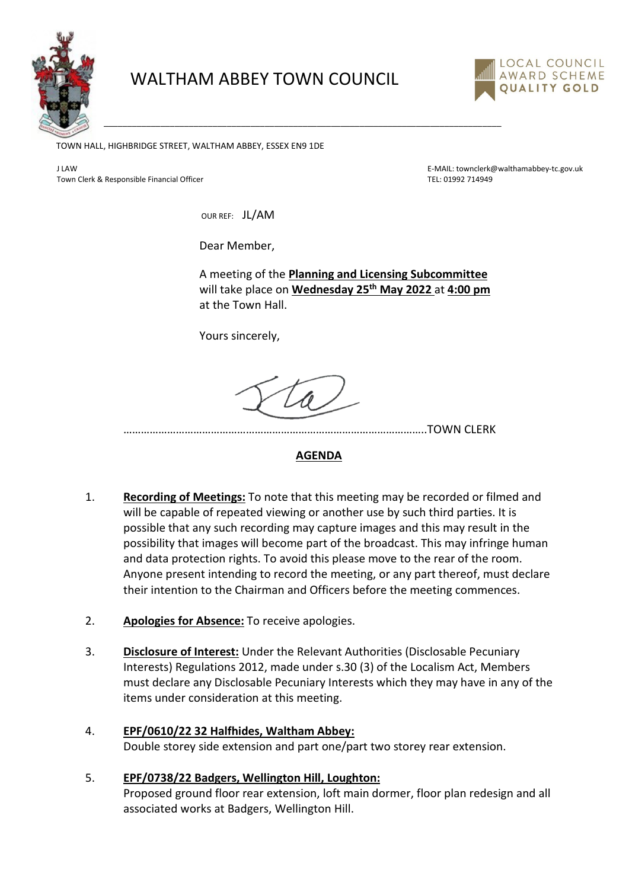

# WALTHAM ABBEY TOWN COUNCIL

\_\_\_\_\_\_\_\_\_\_\_\_\_\_\_\_\_\_\_\_\_\_\_\_\_\_\_\_\_\_\_\_\_\_\_\_\_\_\_\_\_\_\_\_\_\_\_\_\_\_\_\_\_\_\_\_\_\_\_\_\_\_\_\_\_\_\_\_\_\_\_\_\_\_\_\_\_\_\_\_\_\_\_\_



TOWN HALL, HIGHBRIDGE STREET, WALTHAM ABBEY, ESSEX EN9 1DE

Town Clerk & Responsible Financial Officer Telecommunical Control of Telecommunical Control of Telecommunical Officer Telecommunical Officer Telecommunical Officer Telecommunical Officer Telecommunical Officer Telecommunic

J LAW E-MAIL: townclerk@walthamabbey-tc.gov.uk

OUR REF: JL/AM

Dear Member,

A meeting of the **Planning and Licensing Subcommittee** will take place on **Wednesday 25th May 2022** at **4:00 pm** at the Town Hall.

Yours sincerely,

…………………………………………………………………………………………..TOWN CLERK

#### **AGENDA**

- 1. **Recording of Meetings:** To note that this meeting may be recorded or filmed and will be capable of repeated viewing or another use by such third parties. It is possible that any such recording may capture images and this may result in the possibility that images will become part of the broadcast. This may infringe human and data protection rights. To avoid this please move to the rear of the room. Anyone present intending to record the meeting, or any part thereof, must declare their intention to the Chairman and Officers before the meeting commences.
- 2. **Apologies for Absence:** To receive apologies.
- 3. **Disclosure of Interest:** Under the Relevant Authorities (Disclosable Pecuniary Interests) Regulations 2012, made under s.30 (3) of the Localism Act, Members must declare any Disclosable Pecuniary Interests which they may have in any of the items under consideration at this meeting.
- 4. **EPF/0610/22 32 Halfhides, Waltham Abbey:** Double storey side extension and part one/part two storey rear extension.
- 5. **EPF/0738/22 Badgers, Wellington Hill, Loughton:** Proposed ground floor rear extension, loft main dormer, floor plan redesign and all associated works at Badgers, Wellington Hill.